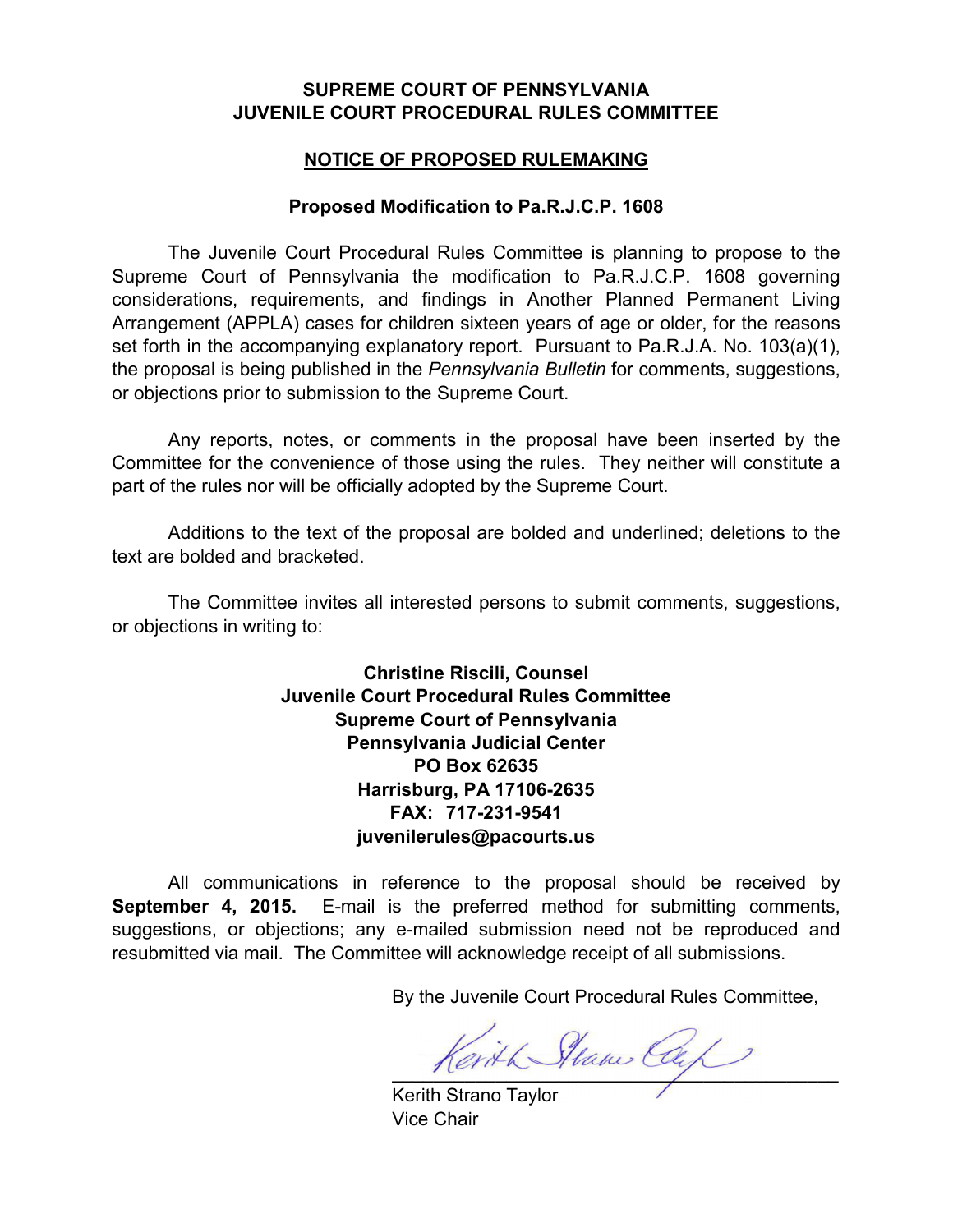## **SUPREME COURT OF PENNSYLVANIA JUVENILE COURT PROCEDURAL RULES COMMITTEE**

## **NOTICE OF PROPOSED RULEMAKING**

## **Proposed Modification to Pa.R.J.C.P. 1608**

 The Juvenile Court Procedural Rules Committee is planning to propose to the Supreme Court of Pennsylvania the modification to Pa.R.J.C.P. 1608 governing considerations, requirements, and findings in Another Planned Permanent Living Arrangement (APPLA) cases for children sixteen years of age or older, for the reasons set forth in the accompanying explanatory report. Pursuant to Pa.R.J.A. No. 103(a)(1), the proposal is being published in the *Pennsylvania Bulletin* for comments, suggestions, or objections prior to submission to the Supreme Court.

Any reports, notes, or comments in the proposal have been inserted by the Committee for the convenience of those using the rules. They neither will constitute a part of the rules nor will be officially adopted by the Supreme Court.

Additions to the text of the proposal are bolded and underlined; deletions to the text are bolded and bracketed.

The Committee invites all interested persons to submit comments, suggestions, or objections in writing to:

> **Christine Riscili, Counsel Juvenile Court Procedural Rules Committee Supreme Court of Pennsylvania Pennsylvania Judicial Center PO Box 62635 Harrisburg, PA 17106-2635 FAX: 717-231-9541 juvenilerules@pacourts.us**

 All communications in reference to the proposal should be received by **September 4, 2015.** E-mail is the preferred method for submitting comments, suggestions, or objections; any e-mailed submission need not be reproduced and resubmitted via mail. The Committee will acknowledge receipt of all submissions.

By the Juvenile Court Procedural Rules Committee,

Kerith Stan Cap

Kerith Strano Taylor Vice Chair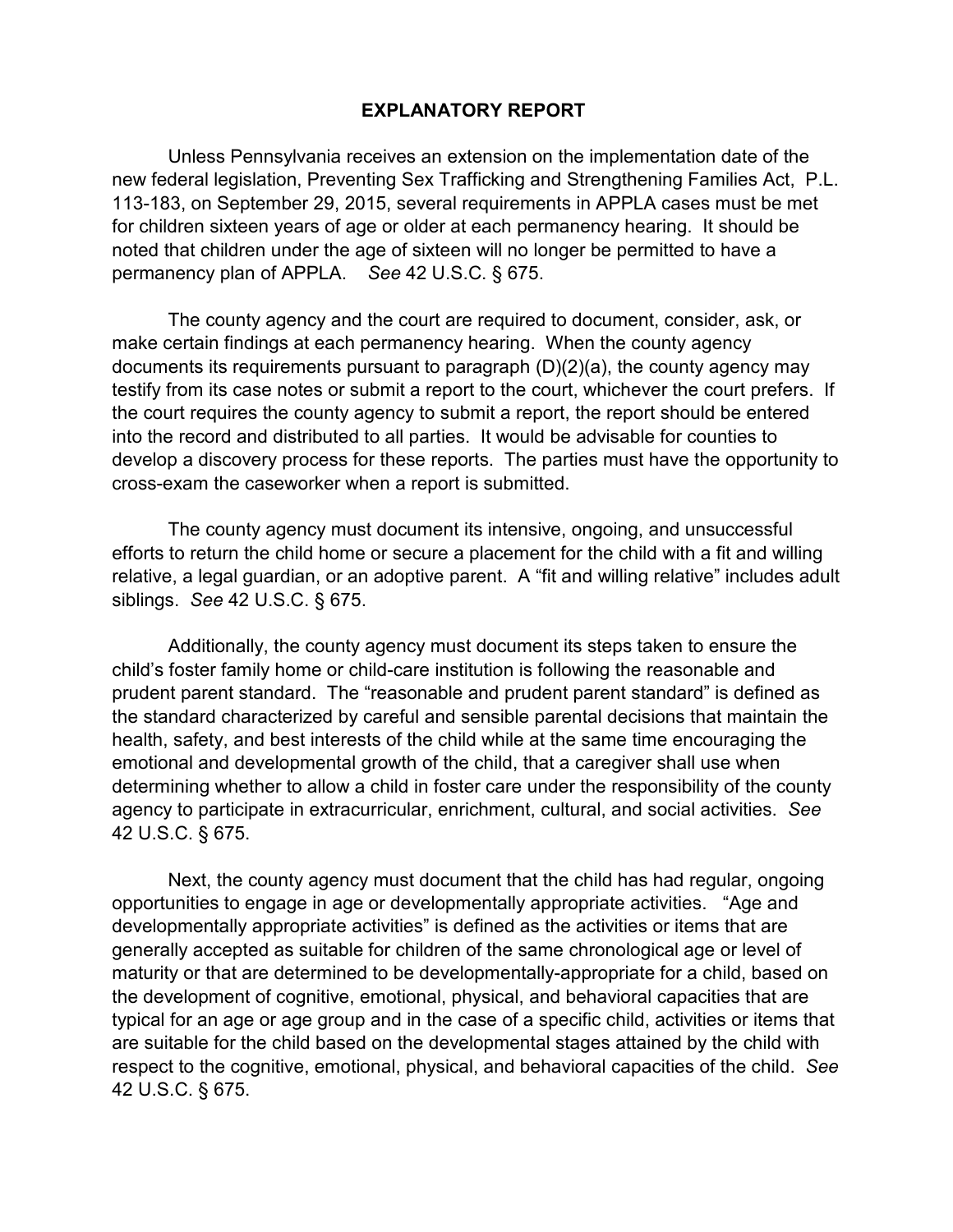## **EXPLANATORY REPORT**

Unless Pennsylvania receives an extension on the implementation date of the new federal legislation, Preventing Sex Trafficking and Strengthening Families Act, P.L. 113-183, on September 29, 2015, several requirements in APPLA cases must be met for children sixteen years of age or older at each permanency hearing. It should be noted that children under the age of sixteen will no longer be permitted to have a permanency plan of APPLA. *See* 42 U.S.C. § 675.

The county agency and the court are required to document, consider, ask, or make certain findings at each permanency hearing. When the county agency documents its requirements pursuant to paragraph (D)(2)(a), the county agency may testify from its case notes or submit a report to the court, whichever the court prefers. If the court requires the county agency to submit a report, the report should be entered into the record and distributed to all parties. It would be advisable for counties to develop a discovery process for these reports. The parties must have the opportunity to cross-exam the caseworker when a report is submitted.

The county agency must document its intensive, ongoing, and unsuccessful efforts to return the child home or secure a placement for the child with a fit and willing relative, a legal guardian, or an adoptive parent. A "fit and willing relative" includes adult siblings. *See* 42 U.S.C. § 675.

Additionally, the county agency must document its steps taken to ensure the child's foster family home or child-care institution is following the reasonable and prudent parent standard. The "reasonable and prudent parent standard" is defined as the standard characterized by careful and sensible parental decisions that maintain the health, safety, and best interests of the child while at the same time encouraging the emotional and developmental growth of the child, that a caregiver shall use when determining whether to allow a child in foster care under the responsibility of the county agency to participate in extracurricular, enrichment, cultural, and social activities. *See* 42 U.S.C. § 675.

Next, the county agency must document that the child has had regular, ongoing opportunities to engage in age or developmentally appropriate activities. "Age and developmentally appropriate activities" is defined as the activities or items that are generally accepted as suitable for children of the same chronological age or level of maturity or that are determined to be developmentally-appropriate for a child, based on the development of cognitive, emotional, physical, and behavioral capacities that are typical for an age or age group and in the case of a specific child, activities or items that are suitable for the child based on the developmental stages attained by the child with respect to the cognitive, emotional, physical, and behavioral capacities of the child. *See* 42 U.S.C. § 675.